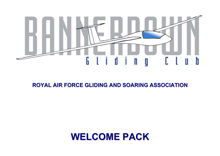

## **ROYAL AIR FORCE GLIDING AND SOARING ASSOCIATION**

# **WELCOME PACK**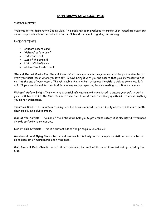#### **BANNERDOWN GC WELCOME PACK**

#### INTRODUCTION

Welcome to the Bannerdown Gliding Club. This pack has been produced to answer your immediate questions, as well as provide a brief introduction to the Club and the sport of gliding and soaring.

#### PACK CONTENTS

- Student record card
- Visitors' safety brief
- Induction brief
- Map of the airfield
- List of Club officials
- Club aircraft data sheets

**Student Record Card** - The Student Record Card documents your progress and enables your instructor to start your next lesson where you left off. Always bring it with you and ensure that your instructor writes on it at the end of your lesson. This will enable the next instructor you fly with to pick up where you left off. If your card is not kept up to date you may end up repeating lessons wasting both time and money.

**Visitors' Safety Brief** - This contains essential information and is produced to ensure your safety during your first few visits to the Club. You must take time to read it and to ask any questions if there is anything you do not understand.

**Induction Brief** - The induction training pack has been produced for your safety and to assist you to settle down quickly as a club member.

**Map of the Airfield** - The map of the airfield will help you to get around safely; it is also useful if you need friends or family to collect you.

**List of Club Officials** - This is a current list of the principal Club officials.

**Membership and flying Fees** – To find out how much it is likely to cost you please visit our website for an up to date list of membership and flying fees.

**Club Aircraft Data Sheets** - A data sheet is included for each of the aircraft owned and operated by the Club.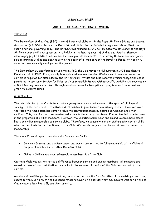#### **INDUCTION BRIEF**

#### **PART 1 - THE CLUB AND HOW IT WORKS**

#### THE CLUB

The Bannerdown Gliding Club (BGC) is one of 8 regional clubs within the Royal Air Force Gliding and Soaring Association (RAFGSA). In turn the RAFGSA is affiliated to the British Gliding Association (BGA), the sport's national governing body. The RAFGSA was founded in 1949 to "promote the efficiency of the Royal Air Force by providing an opportunity to indulge in the healthy sport of Gliding and Soaring, thereby encouraging physical fitness and airmanship among all its members". In achieving this aim special regard is paid to bringing Gliding and Soaring within the reach of all members of the Royal Air Force, with priority given to those normally employed on the ground.

The Bannerdown GC was formed at Colerne in 1960; the Club moved to Hullavington in 1976 and then to Keevil airfield in 1992. Flying usually takes place at weekends and on Wednesday afternoons unless the airfield is required for exercises by the RAF or Army. Whilst the Club receives official recognition and is permitted to use some Service facilities, subject to availability and within specific guidelines, it receives no official funding. Money is raised through members' annual subscriptions, flying fees and the occasional grant from sports funds.

#### MEMBERSHIP

The principle aim of the Club is to introduce young service men and women to the sport of gliding and soaring. In the early days of the RAFGSA its membership was almost exclusively service. However, over the years the Association has come to value the contribution made by retired servicemen and other civilians. This, combined with successive reductions in the size of the Armed Forces, has led to an increase in the proportion of civilian members. However, the Charities Commission and Inland Revenue have placed limits on civilian membership of service clubs. Therefore, we generally look for civilians with certain skills who can contribute to the functioning of the Club. We are also required to charge differential rates for membership.

There are 2 broad types of membership: Service and Civilian.

- Service Sserving and ex-Servicemen and women are entitled to full membership of the Club and reciprocal membership of other RAFGSA clubs.
- Civilian Civilians are granted associate membership of the Club.

On the airfield you will not notice a difference between service and civilian members. All members are valued because of the contribution they make to the successful running of the Club both on and off the airfield.

Membership entitles you to receive gliding instruction and use the Club facilities. If you wish, you can bring guests to the Club to fly at the published rates; however, on a busy day they may have to wait for a while as Club members learning to fly are given priority.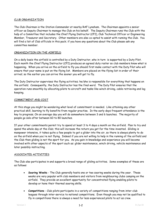#### CLUB ORGANIZATION

The Club Chairman is the Station Commander at nearby RAF Lyneham. The Chairman appoints a senior officer as Deputy Chairman to manage the Club on his behalf. The Deputy Chairman runs the Club with the help of a Committee that includes the Chief Flying Instructor (CFI), Club Technical Officer or Engineering Member, Treasurer and Secretary. Other members are also co-opted to assist with running the Club. You will find a list of Club officials in this pack; if you have any questions about the Club please ask any committee member.

#### ORGANIZATION ON THE AIRFIELD

On a daily basis the airfield is controlled by a Duty Instructor, who in turn is supported by a Duty Pilot. Each month the Chief Flying Instructor (CFI) produces an agreed duty roster so club members know what is happening. When you arrive on the airfield to fly you should first make contact with the Duty Pilot who will ensure that your name is put on the flying list. Members are placed on the flying list in order of their arrival; so the earlier you can arrive the sooner you will get to fly.

The Duty Instructor supervises the flying activities; he/she is responsible for everything that happens on the airfield. Consequently, the Duty Instructor has the final word. The Duty Pilot ensures that the operation runs smoothly by allocating pilots to aircraft and tasks like winch driving, cable retrieving and log keeping.

#### COMMITMENT AND COST

At this stage you might be wondering what level of commitment is needed. Like attaining any other practical skill, learning to fly benefits from regular practise. In the early days frequent attendance is the key to progress. On an average day you will do somewhere between 3 and 6 launches. The majority of people go solo after between 60 to 80 launches.

If your other commitments permit try to spend at least 3 to 4 days a month on the airfield. Plan to try and spend the whole day at the Club; this will increase the return you get for the time invested. Gliding is manpower intensive, it takes quite a few people to get a glider into the air, so there is always plenty to do on the airfield when you're not flying. Indeed if you are not willing to help in the running of the airfield and the Club then gliding is not the sport for you. As you gain in knowledge and experience you will become involved with other aspects of the sport such as: glider maintenance, winch driving, vehicle maintenance and later possibly instructing.

#### ASSOCIATED ACTIVITIES

The Club also participates in and supports a broad range of gliding activities. Some examples of these are as follows:

- **Soaring Weeks** The Club generally hosts one or two soaring weeks during the year. These weeks are very popular with club members and visitors from neighbouring clubs camping on the airfield. They provide an excellent opportunity for concentrated flying enabling pilots to develop or hone their thermal soaring skills.
- **Competitions** Club pilots participate in a variety of competitions ranging from inter-club leagues through inter-service to national competitions. Even though you may not be qualified to fly in competitions there is always a need for less experienced pilots to act as crew.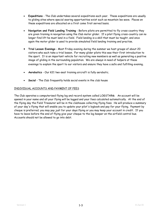- **Expeditions** The Club undertakes several expeditions each year. These expeditions are usually to gliding sites where special soaring opportunities exist such as mountain lee wave. Places on these expeditions are allocated on a first come first served basis.
- **Navigation and Field Landing Training** Before pilots are permitted to fly cross-country they are given training in navigation using the Club motor glider. If a pilot flying cross-country can no longer find lift he must land in a field. Field landing is a skill that must be taught, and once again the motor glider is used to provide simulated field landing training and practise.
- **Trial Lesson Evenings** Most Friday evening during the summer we host groups of about 20 visitors who each take a trial lesson. For many glider pilots this was their first introduction to the sport. It is an important vehicle for recruiting new members as well as generating a positive image of gliding in the surrounding population. We are always in need of helpers at these evenings to explain the sport to our visitors and ensure they have a safe and fulfilling evening.
- **Aerobatics** Our K21 two-seat training aircraft is fully aerobatic.
- **Social** The Club frequently holds social events in the club house

#### INDIVIDUAL ACCOUNTS AND PAYMENT OF FEES

The Club operates a computerised flying log and record system called LOGSTAR®. An account will be opened in your name and all your flying will be logged and your fees calculated automatically. At the end of the flying day the Field Treasurer will be in the clubhouse collecting flying fees. He will produce a summary of your day's flying that will enable you to update your pilot's logbook and pay for your flying. Payment by cheque is preferred; you may pay just for your days flying or you may keep your account in credit. If you have to leave before the end of flying give your cheque to the log keeper on the airfield control bus. Accounts should not be allowed to go into debt.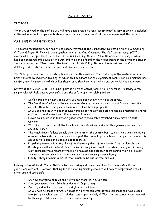#### **PART 2 - SAFETY**

#### VISITORS

When you arrived on the airfield you will have been given a visitors' safety brief; a copy of which is included in the welcome pack for your retention so you can brief friends and relatives who may visit the airfield.

#### CLUB SAFETY ORGANIZATION

The overall responsibility for health and safety matters at the Bannerdown GC rests with the Commanding Officer of Royal Air Force Station Lyneham who is the Club Chairman. The Officer-in-Charge (OIC) exercises this responsibility on behalf of the Commanding Officer. A Health and Safety Policy Statement has been prepared and issued by the OIC and this can be found on the notice board in the corridor between the first and second Nissen huts. The Health and Safety Policy Statement sets out how the Club discharges its statutory duty of care for its members and visitors.

The Club operates a system of safety training and authorisations. The first step is the visitors' safety brief followed by induction training, of which this document forms a significant part. Each club member has a safety training record card which list those tasks that he/she is trained and authorised to undertake.

Safety at the Launch Point. The launch point is a hive of activity and is full of hazards. Following a few simple rules will help ensure your safety and the safety of other club members.

- Don't handle the winch cables until you have been shown how to do so safely.
- The "not-in-use" winch cables can move suddenly if the cables are crossed further down the airfield; therefore, keep clear them when a launch is in progress.
- If you are helping with glider ground handling on the airfield listen to the club member in charge and keep a good lookout for gliders coming into land.
- Never walk or drive in front of a glider when it has a cable attached it may move without warning.
- If a glider at the front of the launch point has its wings held level this generally means it is about to launch.
- The winch driver follows signals given by lights on the control bus. Whilst the signals are being given an amber rotating beacon on the top of the bus will operate to warn people that a launch is about to take place or a cable is about to move.
- Propeller powered glider tug aircraft and motor gliders often operate from the launch point. Rotating propellers can be difficult to see so always keep well clear when the engine is running. Only approach the aircraft at the pilot's request and approach from behind the wing. Never turn a stationary propeller, the engine could start causing serious injury.
- **Finally, always remain alert at the launch point and on the airfield.**

Driving on the Airfield. The airfield can be a confusing and dangerous place for those unfamiliar with gliders and aircraft. However, sticking to the following simple guidelines will help to keep you as well as other airfield users safe:

- Know where you want to go and how to get there; if in doubt ask.
- Keep your speed down: 30mph by day and 15mph at night.
- Keep a good lookout for aircraft and gliders at all times.
- If you have to cross a runway or grass strip threshold stop before you cross and have a good look for approaching aircraft. Gliders can be particularly difficult to see so take your time and be thorough. When clear cross the runway promptly.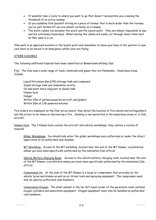- If possible take a route to where you want to go that doesn't necessitate you crossing the threshold of an active runway.
- In you suddenly find yourself driving on a piece of tarmac that is much wider than the taxiway you've just turned off you are almost certainly on a runway.
- The winch cables run between the winch and the launch point. They are almost impossible to see and are extremely hazardous. When moving the cables will easily cut through sheet steel such as that used in a car.

Only park in an approved location at the launch point and remember to leave your keys in the ignition in case cars have to be moved in an emergency whilst your are flying.

#### OTHER HAZARDS

The following additional hazards have been identified at Bannerdown Gliding Club:

Fire. The Club uses a wide range of fuels, chemicals and gases that are flammable. Hazardous areas include:

Liquid Petroleum Gas (LPG) storage tank and compound Diesel storage tank and immediate vicinity Oil and paint store adjacent to diesel tank Nissen huts Hangar Within 20m of parked powered aircraft and gliders Within 20m of LPG powered winches

Fire orders are displayed on the Club notice board; they detail the location of fire alarms and extinguishers and the action to be taken on discovering a fire. Smoking is not permitted in the hazardous areas or in Club aircraft.

Nissen Huts. The 3 Nissen huts contain the aircraft and vehicle workshops; they contain a variety of hazards.

Glider Workshops. You should only enter the glider workshops once authorised or under the direct supervision of an authorised club member.

MT Workshop. Access to the MT workshop, located near the end of the MT Nissen, is prohibited unless you have been specifically authorised by the nominated Club official.

Vehicle Battery Charging Room. Access to the vehicle battery charging room, located near the end of the MT Nissen, is prohibited unless you have been specifically authorised by the nominated Club official.

Compressed Air. At the side of the MT Nissen is a large air compressor that provides air for vehicle tyres and brakes as well as air driven tools and spraying equipment. The compressor must only be used by authorised club members.

Compressed Oxygen. The steel cabinet in the far left-hand corner of the parachute room contains oxygen cylinders and associated equipment. Oxygen equipment must only be handled by authorised club members.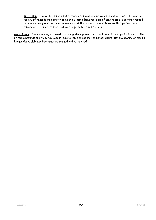MT Nissen. The MT Nissen is used to store and maintain club vehicles and winches. There are a variety of hazards including tripping and slipping; however, a significant hazard is getting trapped between moving vehicles. Always ensure that the driver of a vehicle knows that you're there; remember, if you can't see the driver he probably can't see you.

Main Hangar. The main hangar is used to store gliders, powered aircraft, vehicles and glider trailers. The principle hazards are from fuel vapour, moving vehicles and moving hangar doors. Before opening or closing hangar doors club members must be trained and authorised.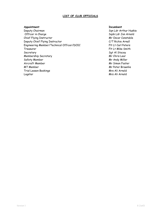#### **LIST OF CLUB OFFICIALS**

#### **Appointment Incumbent**

Deputy Chairman Sqn Ldr Arthur Huskie Officer in Charge Sqdn Ldr Jon Arnold Chief Flying Instructor and The Chief Flying Instructor Mr Oscar Constable Deputy Chief Flying Instructor C/T Richie Arnall Engineering Member/Technical Officer/DOIC Flt Lt Carl Peters Treasurer Flt Lt Mike Smith Secretary Secretary Secretary Secretary Secretary Secretary Secretary Secretary Secretary Secretary Secretary Membership Secretary Membership Secretary Mr Chris Lear Safety Member Manus and Mr Andy Miller Aircraft Member Mr Simon Foster MT Member Manuscript (Mr. 2008) Mr. Peter Brownlie Trial Lesson Bookings and Trial Lesson Bookings and Trial Arnold Mrs Ali Arnold Logstar Mrs Ali Arnold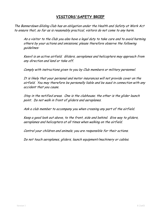## **VISITORS'SAFETY BRIEF**

The Bannerdown Gliding Club has an obligation under the Health and Safety at Work Act to ensure that, so far as is reasonably practical, visitors do not come to any harm.

As a visitor to the Club you also have a legal duty to take care and to avoid harming others by your actions and omissions; please therefore observe the following guidelines:

Keevil is an active airfield. Gliders, aeroplanes and helicopters may approach from any direction and land or take off.

Comply with instructions given to you by Club members or military personnel.

It is likely that your personal and motor insurances will not provide cover on the airfield. You may therefore be personally liable and be sued in connection with any accident that you cause.

Stay in the notified areas. One is the clubhouse; the other is the glider launch point. Do not walk in front of gliders and aeroplanes.

Ask a club member to accompany you when crossing any part of the airfield.

Keep a good look out above, to the front, side and behind. Give way to gliders, aeroplanes and helicopters at all times when walking on the airfield.

Control your children and animals; you are responsible for their actions.

Do not touch aeroplanes, gliders, launch equipment/machinery or cables.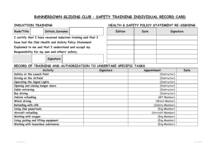## **BANNERDOWN GLIDING CLUB – SAFETY TRAINING INDIVIDUAL RECORD CARD**

### **INDUCTION TRAINING HEALTH & SAFETY POLICY STATEMENT RE-SIGNING**

| Rank/Title | <b>Initials, Surname</b>                                     | <b>Edition</b> | Date | Signature |
|------------|--------------------------------------------------------------|----------------|------|-----------|
|            | I certify that I have received induction training and that I |                |      |           |
|            | have had the Club Health and Safety Policy Statement         |                |      |           |
|            | Explained to me and that I understand and accept my          |                |      |           |
|            | Responsibility for my own and others' safety.                |                |      |           |
|            |                                                              |                |      |           |

**Signature** 

#### **RECORD OF TRAINING AND AUTHORIZATION TO UNDERTAKE SPECIFIC TASKS**

| <b>Activity</b>                     | Signature | Appointment       | Date |
|-------------------------------------|-----------|-------------------|------|
| Safety at the Launch Point          |           | (Instructor)      |      |
| Driving on the Airfield             |           | (Instructor)      |      |
| Operating the Signal Lights         |           | (Instructor)      |      |
| Opening and closing hangar doors    |           | (Instructor)      |      |
| Cable retrieving                    |           | (Instructor)      |      |
| <b>Bus driving</b>                  |           | (Instructor)      |      |
| Vehicle refuelling                  |           | (MT Member)       |      |
| Winch driving                       |           | (Winch Master)    |      |
| Refuelling with LPG                 |           | (Safety Member)   |      |
| Using Club powertools               |           | (Eng Member)      |      |
| Aircraft refuelling                 |           | (Aircraft Member) |      |
| Working with oxygen                 |           | (Eng Member)      |      |
| Using jacking and lifting equipment |           | (Eng Member)      |      |
| Working with hazardous substances   |           | (Eng Member)      |      |